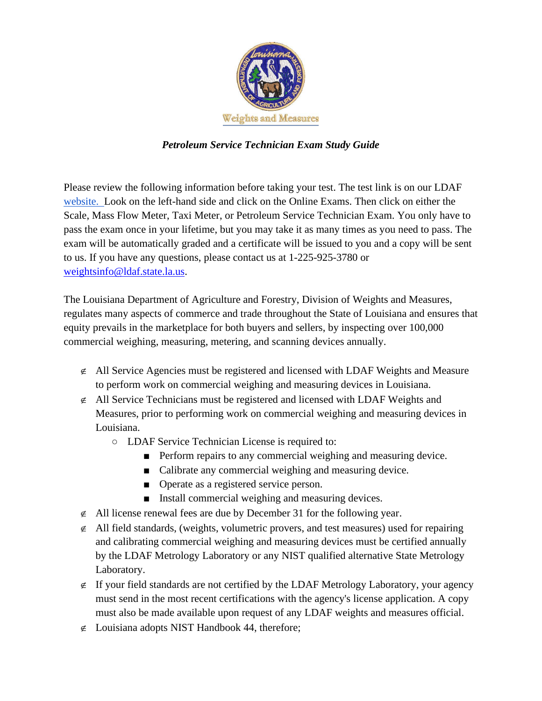

## *Petroleum Service Technician Exam Study Guide*

Please review the following information before taking your test. The test link is on our LDAF [website. L](https://www.ldaf.state.la.us/consumers/consumer-protection-weights-and-measures/)ook on the left-hand side and click on the Online Exams. Then click on either the Scale, Mass Flow Meter, Taxi Meter, or Petroleum Service Technician Exam. You only have to pass the exam once in your lifetime, but you may take it as many times as you need to pass. The exam will be automatically graded and a certificate will be issued to you and a copy will be sent to us. If you have any questions, please contact us at 1-225-925-3780 or [weightsinfo@ldaf.state.la.us.](mailto:weightsinfo@ldaf.state.la.us)

The Louisiana Department of Agriculture and Forestry, Division of Weights and Measures, regulates many aspects of commerce and trade throughout the State of Louisiana and ensures that equity prevails in the marketplace for both buyers and sellers, by inspecting over 100,000 commercial weighing, measuring, metering, and scanning devices annually.

- $\epsilon$  All Service Agencies must be registered and licensed with LDAF Weights and Measure to perform work on commercial weighing and measuring devices in Louisiana.
- $\in$  All Service Technicians must be registered and licensed with LDAF Weights and Measures, prior to performing work on commercial weighing and measuring devices in Louisiana.
	- LDAF Service Technician License is required to:
		- Perform repairs to any commercial weighing and measuring device.
		- Calibrate any commercial weighing and measuring device.
		- Operate as a registered service person.
		- Install commercial weighing and measuring devices.
- $\neq$  All license renewal fees are due by December 31 for the following year.
- $\epsilon$  All field standards, (weights, volumetric provers, and test measures) used for repairing and calibrating commercial weighing and measuring devices must be certified annually by the LDAF Metrology Laboratory or any NIST qualified alternative State Metrology Laboratory.
- $\epsilon$  If your field standards are not certified by the LDAF Metrology Laboratory, your agency must send in the most recent certifications with the agency's license application. A copy must also be made available upon request of any LDAF weights and measures official.
- $\notin$  Louisiana adopts NIST Handbook 44, therefore;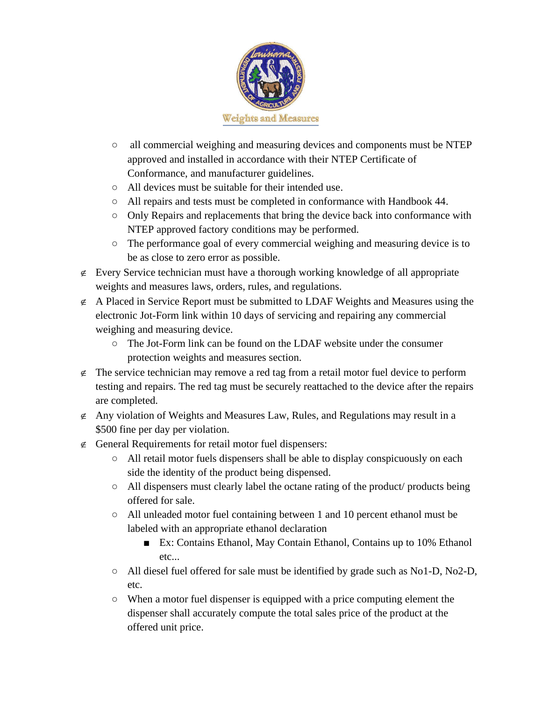

- all commercial weighing and measuring devices and components must be NTEP approved and installed in accordance with their NTEP Certificate of Conformance, and manufacturer guidelines.
- All devices must be suitable for their intended use.
- All repairs and tests must be completed in conformance with Handbook 44.
- Only Repairs and replacements that bring the device back into conformance with NTEP approved factory conditions may be performed.
- The performance goal of every commercial weighing and measuring device is to be as close to zero error as possible.
- $\epsilon$  Every Service technician must have a thorough working knowledge of all appropriate weights and measures laws, orders, rules, and regulations.
- $\epsilon$  A Placed in Service Report must be submitted to LDAF Weights and Measures using the electronic Jot-Form link within 10 days of servicing and repairing any commercial weighing and measuring device.
	- The Jot-Form link can be found on the LDAF website under the consumer protection weights and measures section.
- $\epsilon$  The service technician may remove a red tag from a retail motor fuel device to perform testing and repairs. The red tag must be securely reattached to the device after the repairs are completed.
- $\epsilon$  Any violation of Weights and Measures Law, Rules, and Regulations may result in a \$500 fine per day per violation.
- $\epsilon$  General Requirements for retail motor fuel dispensers:
	- All retail motor fuels dispensers shall be able to display conspicuously on each side the identity of the product being dispensed.
	- All dispensers must clearly label the octane rating of the product/ products being offered for sale.
	- All unleaded motor fuel containing between 1 and 10 percent ethanol must be labeled with an appropriate ethanol declaration
		- Ex: Contains Ethanol, May Contain Ethanol, Contains up to 10% Ethanol etc...
	- All diesel fuel offered for sale must be identified by grade such as No1-D, No2-D, etc.
	- When a motor fuel dispenser is equipped with a price computing element the dispenser shall accurately compute the total sales price of the product at the offered unit price.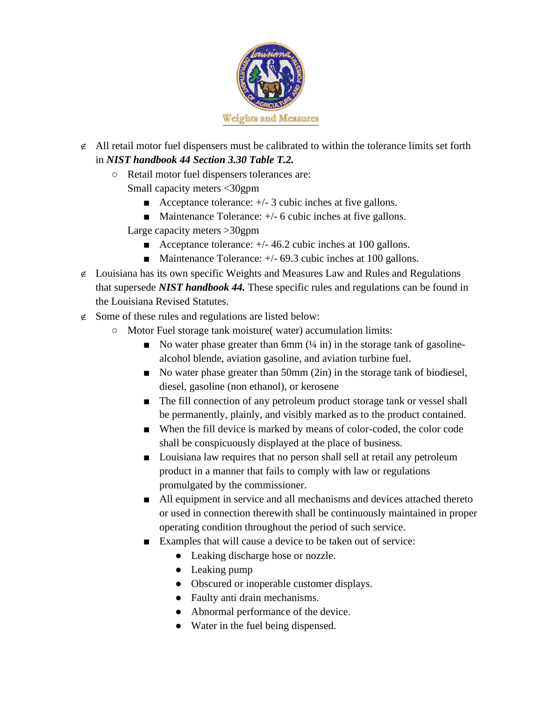

- $\notin$  All retail motor fuel dispensers must be calibrated to within the tolerance limits set forth in *NIST handbook 44 Section 3.30 Table T.2.*
	- Retail motor fuel dispensers tolerances are: Small capacity meters <30gpm
		- Acceptance tolerance:  $+/- 3$  cubic inches at five gallons.
		- Maintenance Tolerance:  $+/-$  6 cubic inches at five gallons.
		- Large capacity meters >30gpm
			- Acceptance tolerance:  $+/- 46.2$  cubic inches at 100 gallons.
			- Maintenance Tolerance:  $+/-$  69.3 cubic inches at 100 gallons.
- $\epsilon$  Louisiana has its own specific Weights and Measures Law and Rules and Regulations that supersede *NIST handbook 44.* These specific rules and regulations can be found in the Louisiana Revised Statutes.
- $\epsilon$  Some of these rules and regulations are listed below:
	- Motor Fuel storage tank moisture( water) accumulation limits:
		- $\blacksquare$  No water phase greater than 6mm  $(½ in)$  in the storage tank of gasolinealcohol blende, aviation gasoline, and aviation turbine fuel.
		- No water phase greater than 50mm (2in) in the storage tank of biodiesel, diesel, gasoline (non ethanol), or kerosene
		- The fill connection of any petroleum product storage tank or vessel shall be permanently, plainly, and visibly marked as to the product contained.
		- When the fill device is marked by means of color-coded, the color code shall be conspicuously displayed at the place of business.
		- Louisiana law requires that no person shall sell at retail any petroleum product in a manner that fails to comply with law or regulations promulgated by the commissioner.
		- All equipment in service and all mechanisms and devices attached thereto or used in connection therewith shall be continuously maintained in proper operating condition throughout the period of such service.
		- Examples that will cause a device to be taken out of service:
			- Leaking discharge hose or nozzle.
			- Leaking pump
			- Obscured or inoperable customer displays.
			- Faulty anti drain mechanisms.
			- Abnormal performance of the device.
			- Water in the fuel being dispensed.